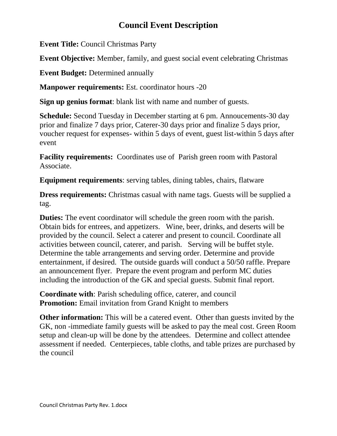## **Council Event Description**

**Event Title:** Council Christmas Party

**Event Objective:** Member, family, and guest social event celebrating Christmas

**Event Budget:** Determined annually

**Manpower requirements:** Est. coordinator hours -20

**Sign up genius format**: blank list with name and number of guests.

**Schedule:** Second Tuesday in December starting at 6 pm. Annoucements-30 day prior and finalize 7 days prior, Caterer-30 days prior and finalize 5 days prior, voucher request for expenses- within 5 days of event, guest list-within 5 days after event

**Facility requirements:** Coordinates use of Parish green room with Pastoral Associate.

**Equipment requirements**: serving tables, dining tables, chairs, flatware

**Dress requirements:** Christmas casual with name tags. Guests will be supplied a tag.

**Duties:** The event coordinator will schedule the green room with the parish. Obtain bids for entrees, and appetizers. Wine, beer, drinks, and deserts will be provided by the council. Select a caterer and present to council. Coordinate all activities between council, caterer, and parish. Serving will be buffet style. Determine the table arrangements and serving order. Determine and provide entertainment, if desired. The outside guards will conduct a 50/50 raffle. Prepare an announcement flyer. Prepare the event program and perform MC duties including the introduction of the GK and special guests. Submit final report.

**Coordinate with**: Parish scheduling office, caterer, and council **Promotion:** Email invitation from Grand Knight to members

**Other information:** This will be a catered event. Other than guests invited by the GK, non -immediate family guests will be asked to pay the meal cost. Green Room setup and clean-up will be done by the attendees. Determine and collect attendee assessment if needed. Centerpieces, table cloths, and table prizes are purchased by the council